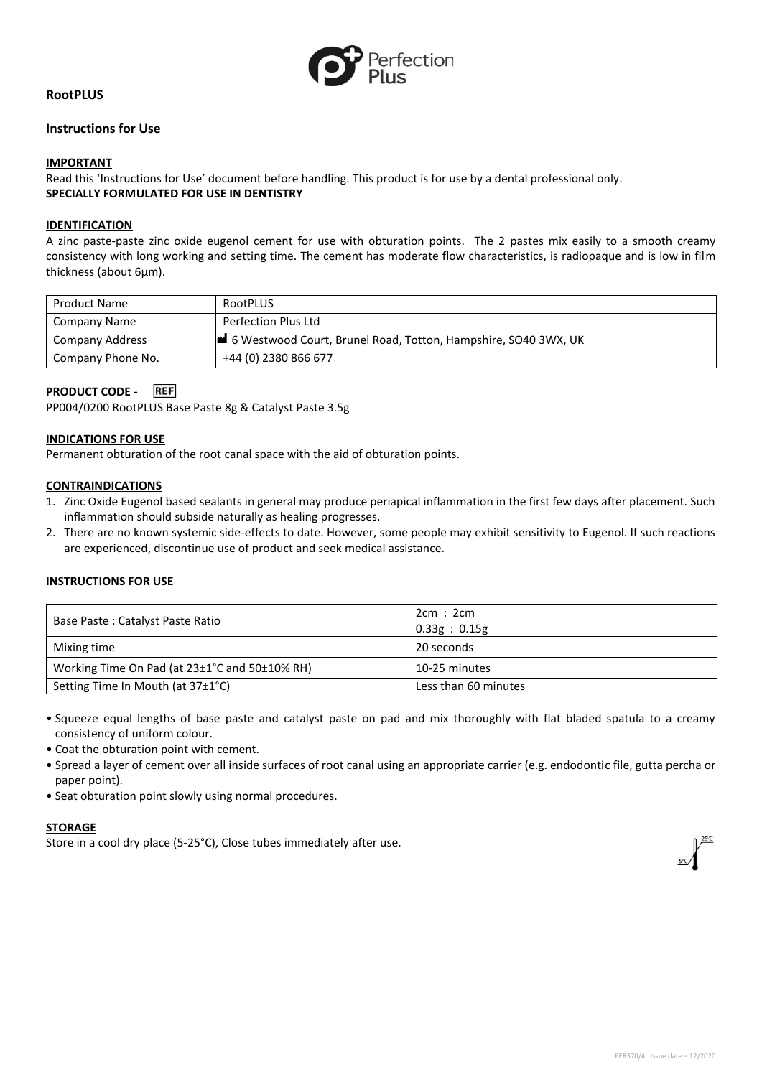

# **RootPLUS**

## **Instructions for Use**

### **IMPORTANT**

Read this 'Instructions for Use' document before handling. This product is for use by a dental professional only. **SPECIALLY FORMULATED FOR USE IN DENTISTRY**

### **IDENTIFICATION**

A zinc paste-paste zinc oxide eugenol cement for use with obturation points. The 2 pastes mix easily to a smooth creamy consistency with long working and setting time. The cement has moderate flow characteristics, is radiopaque and is low in film thickness (about 6µm).

| <b>Product Name</b>    | RootPLUS                                                       |
|------------------------|----------------------------------------------------------------|
| Company Name           | Perfection Plus Ltd                                            |
| <b>Company Address</b> | 6 Westwood Court, Brunel Road, Totton, Hampshire, SO40 3WX, UK |
| Company Phone No.      | +44 (0) 2380 866 677                                           |

# **PRODUCT CODE -**

PP004/0200 RootPLUS Base Paste 8g & Catalyst Paste 3.5g

#### **INDICATIONS FOR USE**

Permanent obturation of the root canal space with the aid of obturation points.

#### **CONTRAINDICATIONS**

- 1. Zinc Oxide Eugenol based sealants in general may produce periapical inflammation in the first few days after placement. Such inflammation should subside naturally as healing progresses.
- 2. There are no known systemic side-effects to date. However, some people may exhibit sensitivity to Eugenol. If such reactions are experienced, discontinue use of product and seek medical assistance.

## **INSTRUCTIONS FOR USE**

| Base Paste: Catalyst Paste Ratio              | 2cm:2cm<br>0.33g : 0.15g |
|-----------------------------------------------|--------------------------|
| Mixing time                                   | 20 seconds               |
| Working Time On Pad (at 23±1°C and 50±10% RH) | 10-25 minutes            |
| Setting Time In Mouth (at 37±1°C)             | Less than 60 minutes     |

- Squeeze equal lengths of base paste and catalyst paste on pad and mix thoroughly with flat bladed spatula to a creamy consistency of uniform colour.
- Coat the obturation point with cement.
- Spread a layer of cement over all inside surfaces of root canal using an appropriate carrier (e.g. endodontic file, gutta percha or paper point).
- Seat obturation point slowly using normal procedures.

#### **STORAGE**

Store in a cool dry place (5-25°C), Close tubes immediately after use.